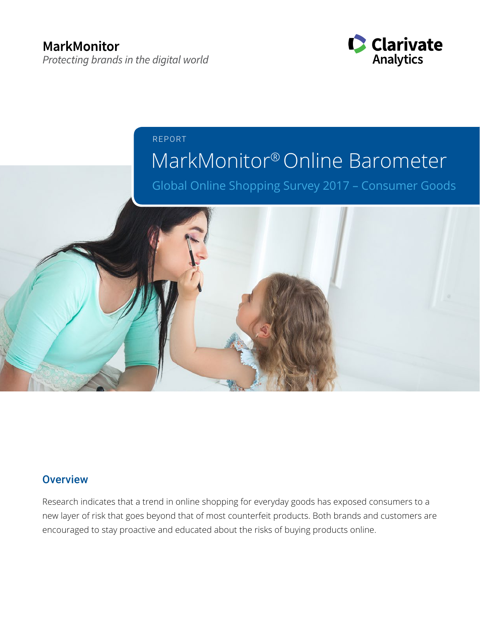

## MarkMonitor® Online Barometer REPORT

Global Online Shopping Survey 2017 – Consumer Goods



## **Overview**

Research indicates that a trend in online shopping for everyday goods has exposed consumers to a new layer of risk that goes beyond that of most counterfeit products. Both brands and customers are encouraged to stay proactive and educated about the risks of buying products online.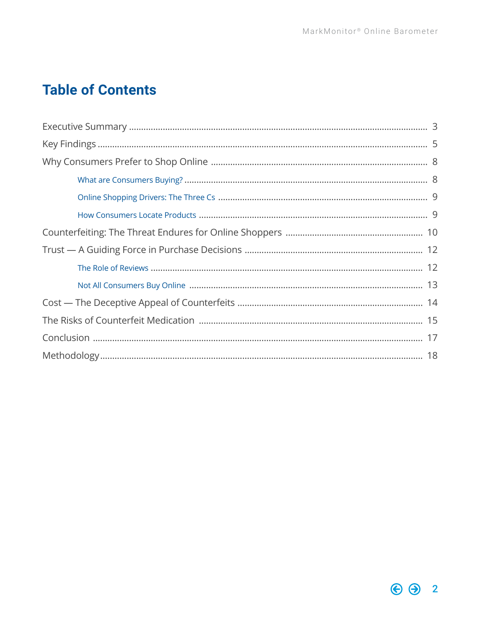## **Table of Contents**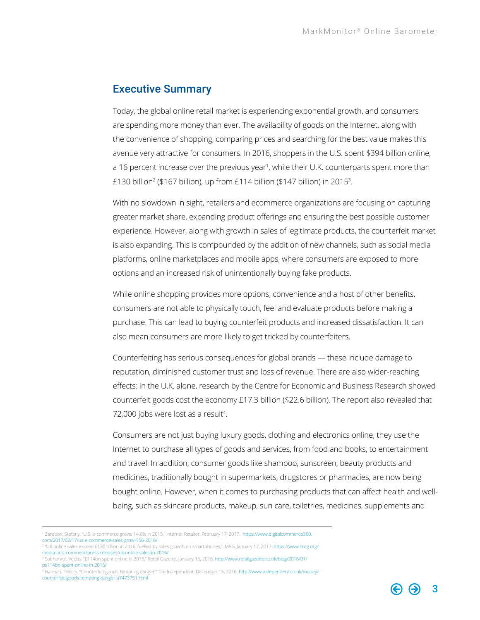### <span id="page-2-0"></span>Executive Summary

Today, the global online retail market is experiencing exponential growth, and consumers are spending more money than ever. The availability of goods on the Internet, along with the convenience of shopping, comparing prices and searching for the best value makes this avenue very attractive for consumers. In 2016, shoppers in the U.S. spent \$394 billion online, a 16 percent increase over the previous year<sup>1</sup>, while their U.K. counterparts spent more than £130 billion<sup>2</sup> (\$167 billion), up from £114 billion (\$147 billion) in 2015<sup>3</sup>.

With no slowdown in sight, retailers and ecommerce organizations are focusing on capturing greater market share, expanding product offerings and ensuring the best possible customer experience. However, along with growth in sales of legitimate products, the counterfeit market is also expanding. This is compounded by the addition of new channels, such as social media platforms, online marketplaces and mobile apps, where consumers are exposed to more options and an increased risk of unintentionally buying fake products.

While online shopping provides more options, convenience and a host of other benefits, consumers are not able to physically touch, feel and evaluate products before making a purchase. This can lead to buying counterfeit products and increased dissatisfaction. It can also mean consumers are more likely to get tricked by counterfeiters.

Counterfeiting has serious consequences for global brands — these include damage to reputation, diminished customer trust and loss of revenue. There are also wider-reaching effects: in the U.K. alone, research by the Centre for Economic and Business Research showed counterfeit goods cost the economy £17.3 billion (\$22.6 billion). The report also revealed that 72,000 jobs were lost as a result<sup>4</sup>.

Consumers are not just buying luxury goods, clothing and electronics online; they use the Internet to purchase all types of goods and services, from food and books, to entertainment and travel. In addition, consumer goods like shampoo, sunscreen, beauty products and medicines, traditionally bought in supermarkets, drugstores or pharmacies, are now being bought online. However, when it comes to purchasing products that can affect health and wellbeing, such as skincare products, makeup, sun care, toiletries, medicines, supplements and

- [com/2017/02/17/us-e-commerce-sales-grow-156-2016/](https://www.digitalcommerce360.com/2017/02/17/us-e-commerce-sales-grow-156-2016/)
- 2 "UK online sales exceed £130 billion in 2016, fuelled by sales growth on smartphones," IMRG, January 17, 2017. [https://www.imrg.org/](https://www.imrg.org/media-and-comment/press-releases/uk-online-sales-in-2016/) [media-and-comment/press-releases/uk-online-sales-in-2016/](https://www.imrg.org/media-and-comment/press-releases/uk-online-sales-in-2016/)
- 3 Sabharwal, Veebs. "£114bn spent online in 2015," Retail Gazette, January 15, 2016. [http://www.retailgazette.co.uk/blog/2016/01/](http://www.retailgazette.co.uk/blog/2016/01/ps114bn-spent-online-in-2015/) [ps114bn-spent-online-in-2015/](http://www.retailgazette.co.uk/blog/2016/01/ps114bn-spent-online-in-2015/)
- 4 Hannah, Felicity. "Counterfeit goods, tempting danger," The Independent, December 15, 2016. [http://www.independent.co.uk/money/](http://www.independent.co.uk/money/counterfeit-goods-tempting-danger-a7473751.html) [counterfeit-goods-tempting-danger-a7473751.html](http://www.independent.co.uk/money/counterfeit-goods-tempting-danger-a7473751.html)

<sup>1</sup> Zaroban, Stefany. "U.S. e-commerce grows 14.6% in 2015," Internet Retailer, February 17, 2017. [https://www.digitalcommerce360.](https://www.digitalcommerce360.com/2017/02/17/us-e-commerce-sales-grow-156-2016/)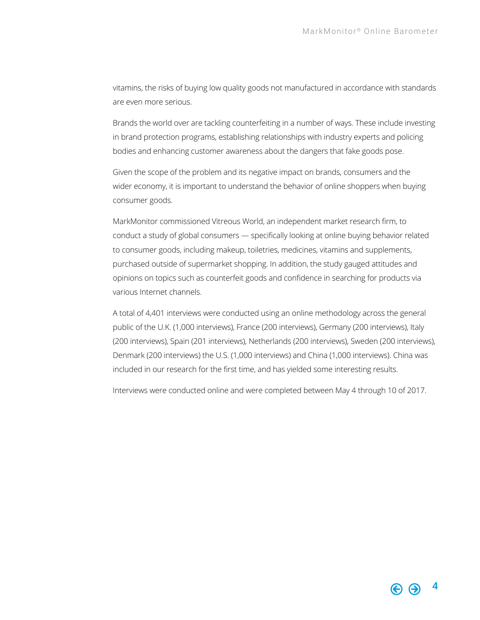vitamins, the risks of buying low quality goods not manufactured in accordance with standards are even more serious.

Brands the world over are tackling counterfeiting in a number of ways. These include investing in brand protection programs, establishing relationships with industry experts and policing bodies and enhancing customer awareness about the dangers that fake goods pose.

Given the scope of the problem and its negative impact on brands, consumers and the wider economy, it is important to understand the behavior of online shoppers when buying consumer goods.

MarkMonitor commissioned Vitreous World, an independent market research firm, to conduct a study of global consumers — specifically looking at online buying behavior related to consumer goods, including makeup, toiletries, medicines, vitamins and supplements, purchased outside of supermarket shopping. In addition, the study gauged attitudes and opinions on topics such as counterfeit goods and confidence in searching for products via various Internet channels.

A total of 4,401 interviews were conducted using an online methodology across the general public of the U.K. (1,000 interviews), France (200 interviews), Germany (200 interviews), Italy (200 interviews), Spain (201 interviews), Netherlands (200 interviews), Sweden (200 interviews), Denmark (200 interviews) the U.S. (1,000 interviews) and China (1,000 interviews). China was included in our research for the first time, and has yielded some interesting results.

Interviews were conducted online and were completed between May 4 through 10 of 2017.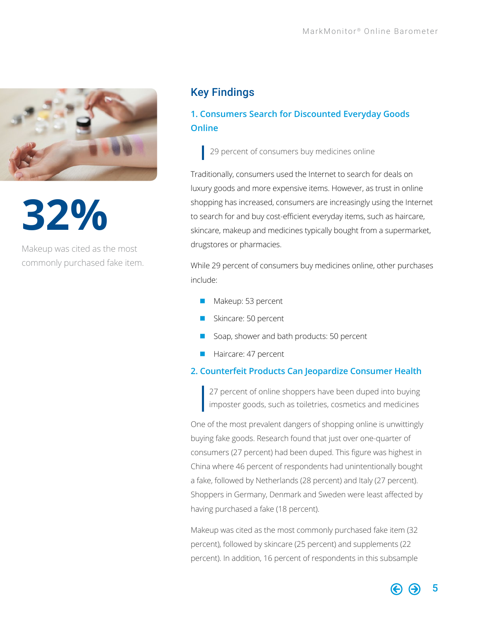<span id="page-4-0"></span>

**32%**

Makeup was cited as the most commonly purchased fake item.

## Key Findings

## **1. Consumers Search for Discounted Everyday Goods Online**

29 percent of consumers buy medicines online

Traditionally, consumers used the Internet to search for deals on luxury goods and more expensive items. However, as trust in online shopping has increased, consumers are increasingly using the Internet to search for and buy cost-efficient everyday items, such as haircare, skincare, makeup and medicines typically bought from a supermarket, drugstores or pharmacies.

While 29 percent of consumers buy medicines online, other purchases include:

- Makeup: 53 percent
- Skincare: 50 percent
- Soap, shower and bath products: 50 percent
- **Haircare: 47 percent**

#### **2. Counterfeit Products Can Jeopardize Consumer Health**

27 percent of online shoppers have been duped into buying imposter goods, such as toiletries, cosmetics and medicines

One of the most prevalent dangers of shopping online is unwittingly buying fake goods. Research found that just over one-quarter of consumers (27 percent) had been duped. This figure was highest in China where 46 percent of respondents had unintentionally bought a fake, followed by Netherlands (28 percent) and Italy (27 percent). Shoppers in Germany, Denmark and Sweden were least affected by having purchased a fake (18 percent).

Makeup was cited as the most commonly purchased fake item (32 percent), followed by skincare (25 percent) and supplements (22 percent). In addition, 16 percent of respondents in this subsample

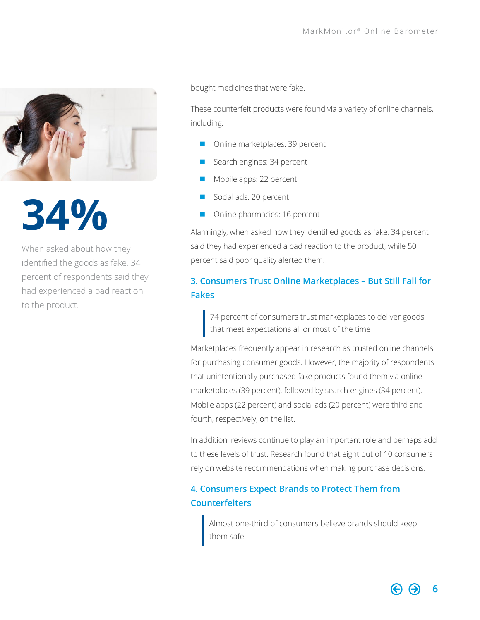

**34%**

When asked about how they identified the goods as fake, 34 percent of respondents said they had experienced a bad reaction to the product.

bought medicines that were fake.

These counterfeit products were found via a variety of online channels, including:

- Online marketplaces: 39 percent
- Search engines: 34 percent
- Mobile apps: 22 percent
- Social ads: 20 percent
- **n** Online pharmacies: 16 percent

Alarmingly, when asked how they identified goods as fake, 34 percent said they had experienced a bad reaction to the product, while 50 percent said poor quality alerted them.

### **3. Consumers Trust Online Marketplaces – But Still Fall for Fakes**

74 percent of consumers trust marketplaces to deliver goods that meet expectations all or most of the time

Marketplaces frequently appear in research as trusted online channels for purchasing consumer goods. However, the majority of respondents that unintentionally purchased fake products found them via online marketplaces (39 percent), followed by search engines (34 percent). Mobile apps (22 percent) and social ads (20 percent) were third and fourth, respectively, on the list.

In addition, reviews continue to play an important role and perhaps add to these levels of trust. Research found that eight out of 10 consumers rely on website recommendations when making purchase decisions.

### **4. Consumers Expect Brands to Protect Them from Counterfeiters**

Almost one-third of consumers believe brands should keep them safe

6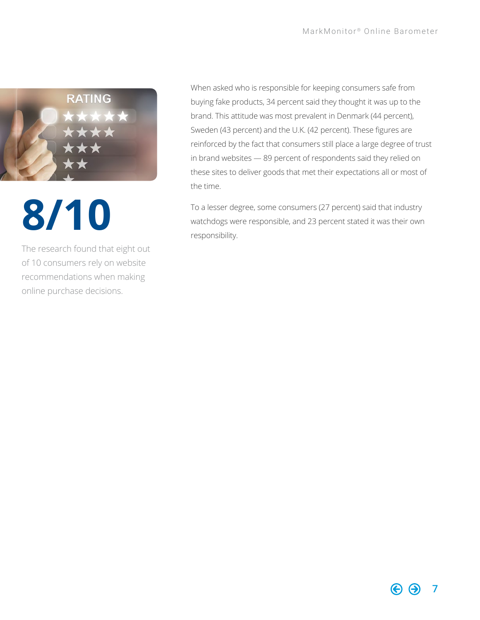

# **8/10**

The research found that eight out of 10 consumers rely on website recommendations when making online purchase decisions.

When asked who is responsible for keeping consumers safe from buying fake products, 34 percent said they thought it was up to the brand. This attitude was most prevalent in Denmark (44 percent), Sweden (43 percent) and the U.K. (42 percent). These figures are reinforced by the fact that consumers still place a large degree of trust in brand websites — 89 percent of respondents said they relied on these sites to deliver goods that met their expectations all or most of the time.

To a lesser degree, some consumers (27 percent) said that industry watchdogs were responsible, and 23 percent stated it was their own responsibility.

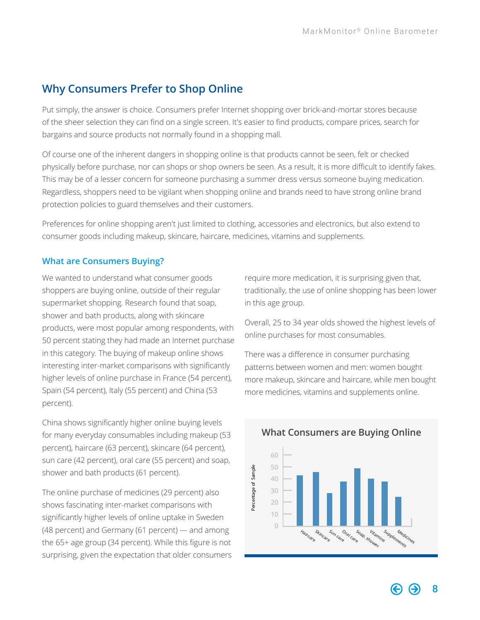## <span id="page-7-0"></span>**Why Consumers Prefer to Shop Online**

Put simply, the answer is choice. Consumers prefer Internet shopping over brick-and-mortar stores because of the sheer selection they can find on a single screen. It's easier to find products, compare prices, search for bargains and source products not normally found in a shopping mall.

Of course one of the inherent dangers in shopping online is that products cannot be seen, felt or checked physically before purchase, nor can shops or shop owners be seen. As a result, it is more difficult to identify fakes. This may be of a lesser concern for someone purchasing a summer dress versus someone buying medication. Regardless, shoppers need to be vigilant when shopping online and brands need to have strong online brand protection policies to guard themselves and their customers.

Preferences for online shopping aren't just limited to clothing, accessories and electronics, but also extend to consumer goods including makeup, skincare, haircare, medicines, vitamins and supplements.

#### **What are Consumers Buying?**

We wanted to understand what consumer goods shoppers are buying online, outside of their regular supermarket shopping. Research found that soap, shower and bath products, along with skincare products, were most popular among respondents, with 50 percent stating they had made an Internet purchase in this category. The buying of makeup online shows interesting inter-market comparisons with significantly higher levels of online purchase in France (54 percent), Spain (54 percent), Italy (55 percent) and China (53 percent).

China shows significantly higher online buying levels for many everyday consumables including makeup (53 percent), haircare (63 percent), skincare (64 percent), sun care (42 percent), oral care (55 percent) and soap, shower and bath products (61 percent).

The online purchase of medicines (29 percent) also shows fascinating inter-market comparisons with significantly higher levels of online uptake in Sweden (48 percent) and Germany (61 percent) — and among the 65+ age group (34 percent). While this figure is not surprising, given the expectation that older consumers require more medication, it is surprising given that, traditionally, the use of online shopping has been lower in this age group.

Overall, 25 to 34 year olds showed the highest levels of online purchases for most consumables.

There was a difference in consumer purchasing patterns between women and men: women bought more makeup, skincare and haircare, while men bought more medicines, vitamins and supplements online.



#### **What Consumers are Buying Online**

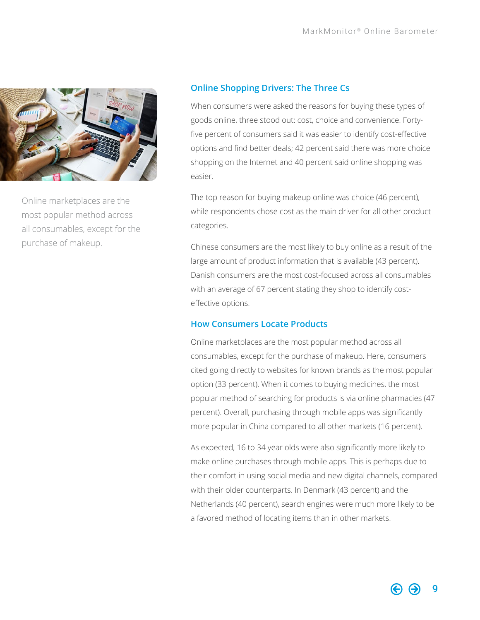<span id="page-8-0"></span>

Online marketplaces are the most popular method across all consumables, except for the purchase of makeup.

#### **Online Shopping Drivers: The Three Cs**

When consumers were asked the reasons for buying these types of goods online, three stood out: cost, choice and convenience. Fortyfive percent of consumers said it was easier to identify cost-effective options and find better deals; 42 percent said there was more choice shopping on the Internet and 40 percent said online shopping was easier.

The top reason for buying makeup online was choice (46 percent), while respondents chose cost as the main driver for all other product categories.

Chinese consumers are the most likely to buy online as a result of the large amount of product information that is available (43 percent). Danish consumers are the most cost-focused across all consumables with an average of 67 percent stating they shop to identify costeffective options.

#### **How Consumers Locate Products**

Online marketplaces are the most popular method across all consumables, except for the purchase of makeup. Here, consumers cited going directly to websites for known brands as the most popular option (33 percent). When it comes to buying medicines, the most popular method of searching for products is via online pharmacies (47 percent). Overall, purchasing through mobile apps was significantly more popular in China compared to all other markets (16 percent).

As expected, 16 to 34 year olds were also significantly more likely to make online purchases through mobile apps. This is perhaps due to their comfort in using social media and new digital channels, compared with their older counterparts. In Denmark (43 percent) and the Netherlands (40 percent), search engines were much more likely to be a favored method of locating items than in other markets.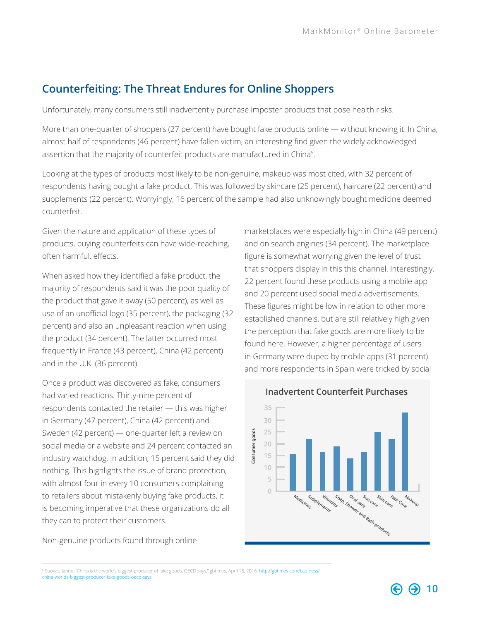## <span id="page-9-0"></span>**Counterfeiting: The Threat Endures for Online Shoppers**

Unfortunately, many consumers still inadvertently purchase imposter products that pose health risks.

More than one-quarter of shoppers (27 percent) have bought fake products online — without knowing it. In China, almost half of respondents (46 percent) have fallen victim, an interesting find given the widely acknowledged assertion that the majority of counterfeit products are manufactured in China<sup>5</sup>.

Looking at the types of products most likely to be non-genuine, makeup was most cited, with 32 percent of respondents having bought a fake product. This was followed by skincare (25 percent), haircare (22 percent) and supplements (22 percent). Worryingly, 16 percent of the sample had also unknowingly bought medicine deemed counterfeit.

Given the nature and application of these types of products, buying counterfeits can have wide-reaching, often harmful, effects.

When asked how they identified a fake product, the majority of respondents said it was the poor quality of the product that gave it away (50 percent), as well as use of an unofficial logo (35 percent), the packaging (32 percent) and also an unpleasant reaction when using the product (34 percent). The latter occurred most frequently in France (43 percent), China (42 percent) and in the U.K. (36 percent).

Once a product was discovered as fake, consumers had varied reactions. Thirty-nine percent of respondents contacted the retailer — this was higher in Germany (47 percent), China (42 percent) and Sweden (42 percent) — one-quarter left a review on social media or a website and 24 percent contacted an industry watchdog. In addition, 15 percent said they did nothing. This highlights the issue of brand protection, with almost four in every 10 consumers complaining to retailers about mistakenly buying fake products, it is becoming imperative that these organizations do all they can to protect their customers.

Non-genuine products found through online

marketplaces were especially high in China (49 percent) and on search engines (34 percent). The marketplace figure is somewhat worrying given the level of trust that shoppers display in this this channel. Interestingly, 22 percent found these products using a mobile app and 20 percent used social media advertisements. These figures might be low in relation to other more established channels, but are still relatively high given the perception that fake goods are more likely to be found here. However, a higher percentage of users in Germany were duped by mobile apps (31 percent) and more respondents in Spain were tricked by social



#### **Inadvertent Counterfeit Purchases**

<sup>&</sup>lt;sup>5</sup> Suokas, Janne. "China is the world's biggest producer of fake goods, OECD says," gbtimes, April 18, 2016. [http://gbtimes.com/business/](http://gbtimes.com/business/china-worlds-biggest-producer-fake-goods-oecd-says) [china-worlds-biggest-producer-fake-goods-oecd-says](http://gbtimes.com/business/china-worlds-biggest-producer-fake-goods-oecd-says)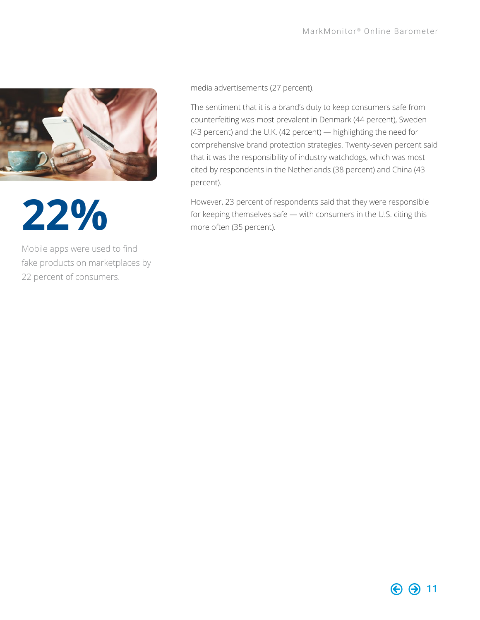

**22%**

Mobile apps were used to find fake products on marketplaces by 22 percent of consumers.

media advertisements (27 percent).

The sentiment that it is a brand's duty to keep consumers safe from counterfeiting was most prevalent in Denmark (44 percent), Sweden (43 percent) and the U.K. (42 percent) — highlighting the need for comprehensive brand protection strategies. Twenty-seven percent said that it was the responsibility of industry watchdogs, which was most cited by respondents in the Netherlands (38 percent) and China (43 percent).

However, 23 percent of respondents said that they were responsible for keeping themselves safe — with consumers in the U.S. citing this more often (35 percent).

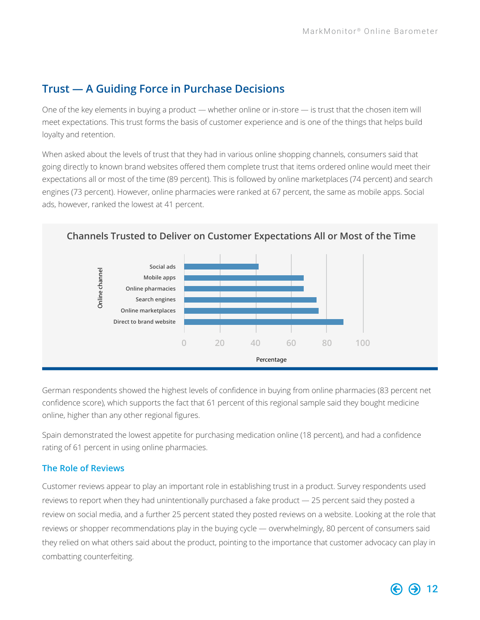## <span id="page-11-0"></span>**Trust — A Guiding Force in Purchase Decisions**

One of the key elements in buying a product — whether online or in-store — is trust that the chosen item will meet expectations. This trust forms the basis of customer experience and is one of the things that helps build loyalty and retention.

When asked about the levels of trust that they had in various online shopping channels, consumers said that going directly to known brand websites offered them complete trust that items ordered online would meet their expectations all or most of the time (89 percent). This is followed by online marketplaces (74 percent) and search engines (73 percent). However, online pharmacies were ranked at 67 percent, the same as mobile apps. Social ads, however, ranked the lowest at 41 percent.



German respondents showed the highest levels of confidence in buying from online pharmacies (83 percent net confidence score), which supports the fact that 61 percent of this regional sample said they bought medicine online, higher than any other regional figures.

Spain demonstrated the lowest appetite for purchasing medication online (18 percent), and had a confidence rating of 61 percent in using online pharmacies.

#### **The Role of Reviews**

Customer reviews appear to play an important role in establishing trust in a product. Survey respondents used reviews to report when they had unintentionally purchased a fake product — 25 percent said they posted a review on social media, and a further 25 percent stated they posted reviews on a website. Looking at the role that reviews or shopper recommendations play in the buying cycle — overwhelmingly, 80 percent of consumers said they relied on what others said about the product, pointing to the importance that customer advocacy can play in combatting counterfeiting.

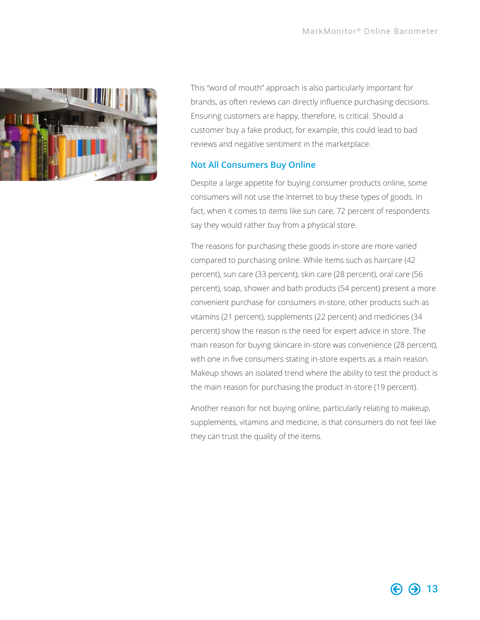

This "word of mouth" approach is also particularly important for brands, as often reviews can directly influence purchasing decisions. Ensuring customers are happy, therefore, is critical. Should a customer buy a fake product, for example, this could lead to bad reviews and negative sentiment in the marketplace.

#### **Not All Consumers Buy Online**

Despite a large appetite for buying consumer products online, some consumers will not use the Internet to buy these types of goods. In fact, when it comes to items like sun care, 72 percent of respondents say they would rather buy from a physical store.

The reasons for purchasing these goods in-store are more varied compared to purchasing online. While items such as haircare (42 percent), sun care (33 percent), skin care (28 percent), oral care (56 percent), soap, shower and bath products (54 percent) present a more convenient purchase for consumers in-store, other products such as vitamins (21 percent), supplements (22 percent) and medicines (34 percent) show the reason is the need for expert advice in store. The main reason for buying skincare in-store was convenience (28 percent), with one in five consumers stating in-store experts as a main reason. Makeup shows an isolated trend where the ability to test the product is the main reason for purchasing the product in-store (19 percent).

Another reason for not buying online, particularly relating to makeup, supplements, vitamins and medicine, is that consumers do not feel like they can trust the quality of the items.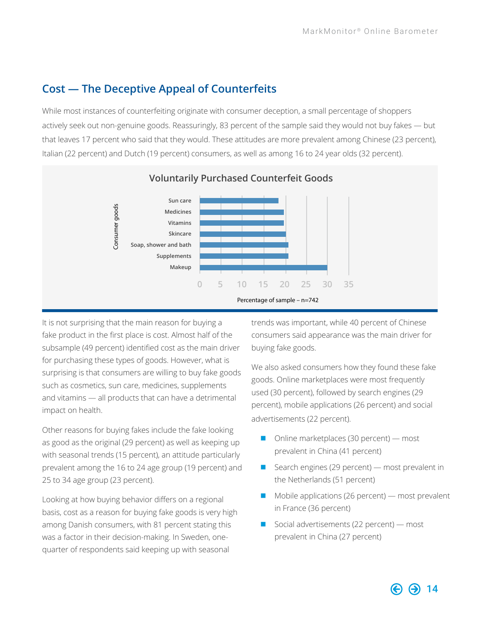## <span id="page-13-0"></span>**Cost — The Deceptive Appeal of Counterfeits**

While most instances of counterfeiting originate with consumer deception, a small percentage of shoppers actively seek out non-genuine goods. Reassuringly, 83 percent of the sample said they would not buy fakes — but that leaves 17 percent who said that they would. These attitudes are more prevalent among Chinese (23 percent), Italian (22 percent) and Dutch (19 percent) consumers, as well as among 16 to 24 year olds (32 percent).



It is not surprising that the main reason for buying a fake product in the first place is cost. Almost half of the subsample (49 percent) identified cost as the main driver for purchasing these types of goods. However, what is surprising is that consumers are willing to buy fake goods such as cosmetics, sun care, medicines, supplements and vitamins — all products that can have a detrimental impact on health.

Other reasons for buying fakes include the fake looking as good as the original (29 percent) as well as keeping up with seasonal trends (15 percent), an attitude particularly prevalent among the 16 to 24 age group (19 percent) and 25 to 34 age group (23 percent).

Looking at how buying behavior differs on a regional basis, cost as a reason for buying fake goods is very high among Danish consumers, with 81 percent stating this was a factor in their decision-making. In Sweden, onequarter of respondents said keeping up with seasonal

trends was important, while 40 percent of Chinese consumers said appearance was the main driver for buying fake goods.

We also asked consumers how they found these fake goods. Online marketplaces were most frequently used (30 percent), followed by search engines (29 percent), mobile applications (26 percent) and social advertisements (22 percent).

- $\Box$  Online marketplaces (30 percent) most prevalent in China (41 percent)
- $\blacksquare$  Search engines (29 percent) most prevalent in the Netherlands (51 percent)
- $\blacksquare$  Mobile applications (26 percent) most prevalent in France (36 percent)
- Social advertisements (22 percent) most prevalent in China (27 percent)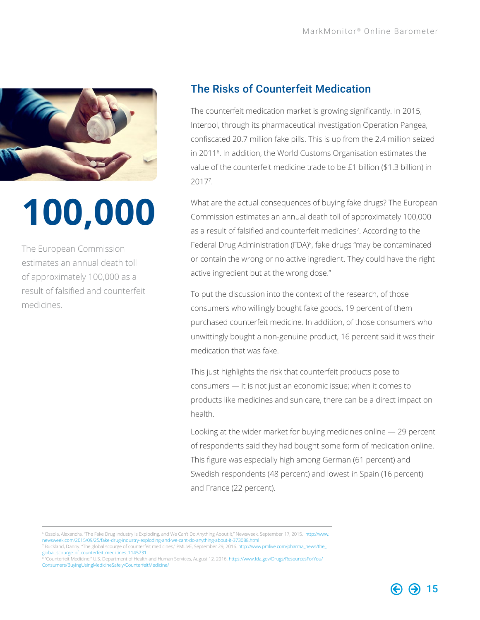<span id="page-14-0"></span>

# **100,000**

The European Commission estimates an annual death toll of approximately 100,000 as a result of falsified and counterfeit medicines.

## The Risks of Counterfeit Medication

The counterfeit medication market is growing significantly. In 2015, Interpol, through its pharmaceutical investigation Operation Pangea, confiscated 20.7 million fake pills. This is up from the 2.4 million seized in 20116 . In addition, the World Customs Organisation estimates the value of the counterfeit medicine trade to be £1 billion (\$1.3 billion) in 20177 .

What are the actual consequences of buying fake drugs? The European Commission estimates an annual death toll of approximately 100,000 as a result of falsified and counterfeit medicines<sup>7</sup>. According to the Federal Drug Administration (FDA)<sup>8</sup>, fake drugs "may be contaminated or contain the wrong or no active ingredient. They could have the right active ingredient but at the wrong dose."

To put the discussion into the context of the research, of those consumers who willingly bought fake goods, 19 percent of them purchased counterfeit medicine. In addition, of those consumers who unwittingly bought a non-genuine product, 16 percent said it was their medication that was fake.

This just highlights the risk that counterfeit products pose to consumers — it is not just an economic issue; when it comes to products like medicines and sun care, there can be a direct impact on health.

Looking at the wider market for buying medicines online — 29 percent of respondents said they had bought some form of medication online. This figure was especially high among German (61 percent) and Swedish respondents (48 percent) and lowest in Spain (16 percent) and France (22 percent).

<sup>6</sup> Ossola, Alexandra. "The Fake Drug Industry Is Exploding, and We Can't Do Anything About It," Newsweek, September 17, 2015. [http://www.](http://www.newsweek.com/2015/09/25/fake-drug-industry-exploding-and-we-cant-do-anything-about-it-373088.html) [newsweek.com/2015/09/25/fake-drug-industry-exploding-and-we-cant-do-anything-about-it-373088.html](http://www.newsweek.com/2015/09/25/fake-drug-industry-exploding-and-we-cant-do-anything-about-it-373088.html)

<sup>7</sup> Buckland, Danny. "The global scourge of counterfeit medicines," PMLiVE, September 29, 2016. [http://www.pmlive.com/pharma\\_news/the\\_](http://www.pmlive.com/pharma_news/the_global_scourge_of_counterfeit_medicines_1145731) [global\\_scourge\\_of\\_counterfeit\\_medicines\\_1145731](http://www.pmlive.com/pharma_news/the_global_scourge_of_counterfeit_medicines_1145731)

<sup>&</sup>lt;sup>8</sup> "Counterfeit Medicine," U.S. Department of Health and Human Services, August 12, 2016. [https://www.fda.gov/Drugs/ResourcesForYou/](https://www.fda.gov/Drugs/ResourcesForYou/Consumers/BuyingUsingMedicineSafely/CounterfeitMedicine/) [Consumers/BuyingUsingMedicineSafely/CounterfeitMedicine/](https://www.fda.gov/Drugs/ResourcesForYou/Consumers/BuyingUsingMedicineSafely/CounterfeitMedicine/)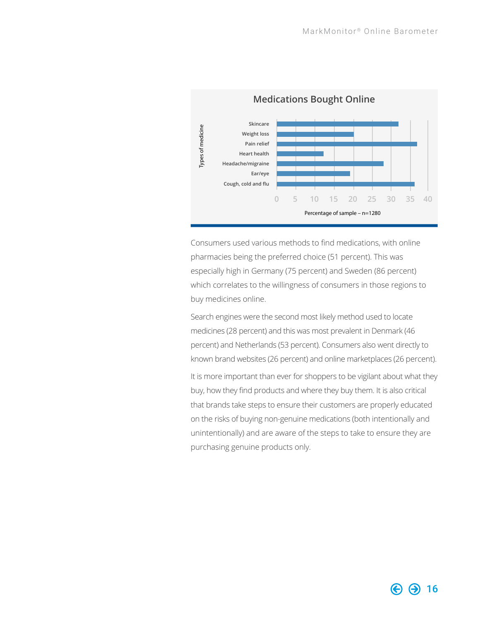

Consumers used various methods to find medications, with online pharmacies being the preferred choice (51 percent). This was especially high in Germany (75 percent) and Sweden (86 percent) which correlates to the willingness of consumers in those regions to buy medicines online.

Search engines were the second most likely method used to locate medicines (28 percent) and this was most prevalent in Denmark (46 percent) and Netherlands (53 percent). Consumers also went directly to known brand websites (26 percent) and online marketplaces (26 percent).

It is more important than ever for shoppers to be vigilant about what they buy, how they find products and where they buy them. It is also critical that brands take steps to ensure their customers are properly educated on the risks of buying non-genuine medications (both intentionally and unintentionally) and are aware of the steps to take to ensure they are purchasing genuine products only.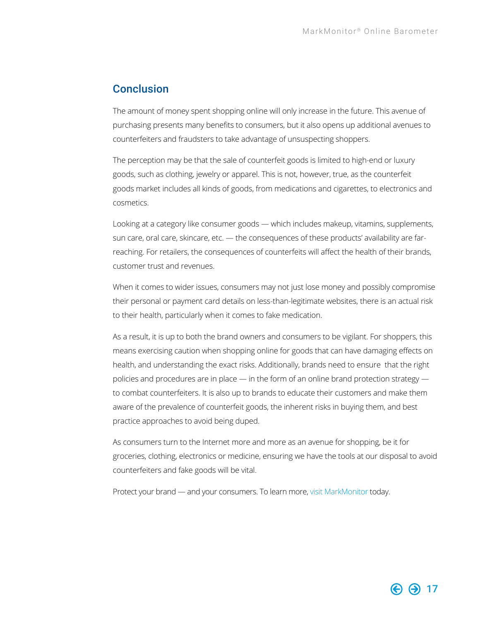### <span id="page-16-0"></span>Conclusion

The amount of money spent shopping online will only increase in the future. This avenue of purchasing presents many benefits to consumers, but it also opens up additional avenues to counterfeiters and fraudsters to take advantage of unsuspecting shoppers.

The perception may be that the sale of counterfeit goods is limited to high-end or luxury goods, such as clothing, jewelry or apparel. This is not, however, true, as the counterfeit goods market includes all kinds of goods, from medications and cigarettes, to electronics and cosmetics.

Looking at a category like consumer goods — which includes makeup, vitamins, supplements, sun care, oral care, skincare, etc. — the consequences of these products' availability are farreaching. For retailers, the consequences of counterfeits will affect the health of their brands, customer trust and revenues.

When it comes to wider issues, consumers may not just lose money and possibly compromise their personal or payment card details on less-than-legitimate websites, there is an actual risk to their health, particularly when it comes to fake medication.

As a result, it is up to both the brand owners and consumers to be vigilant. For shoppers, this means exercising caution when shopping online for goods that can have damaging effects on health, and understanding the exact risks. Additionally, brands need to ensure that the right policies and procedures are in place — in the form of an online brand protection strategy to combat counterfeiters. It is also up to brands to educate their customers and make them aware of the prevalence of counterfeit goods, the inherent risks in buying them, and best practice approaches to avoid being duped.

As consumers turn to the Internet more and more as an avenue for shopping, be it for groceries, clothing, electronics or medicine, ensuring we have the tools at our disposal to avoid counterfeiters and fake goods will be vital.

Protect your brand — and your consumers. To learn more, [visit MarkMonitor](http://www.markmonitor.com) today.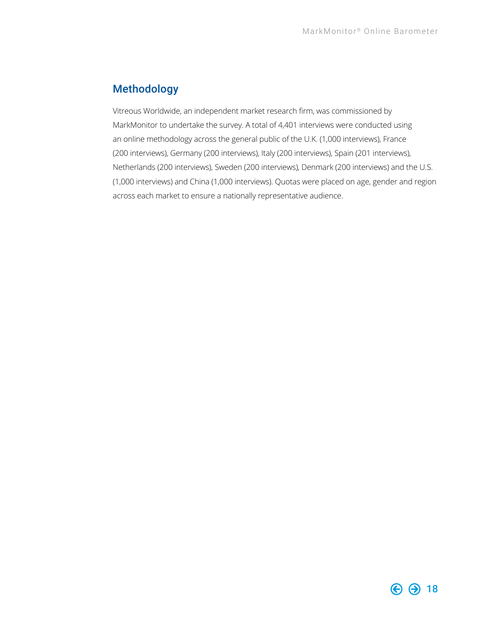## <span id="page-17-0"></span>Methodology

Vitreous Worldwide, an independent market research firm, was commissioned by MarkMonitor to undertake the survey. A total of 4,401 interviews were conducted using an online methodology across the general public of the U.K. (1,000 interviews), France (200 interviews), Germany (200 interviews), Italy (200 interviews), Spain (201 interviews), Netherlands (200 interviews), Sweden (200 interviews), Denmark (200 interviews) and the U.S. (1,000 interviews) and China (1,000 interviews). Quotas were placed on age, gender and region across each market to ensure a nationally representative audience.